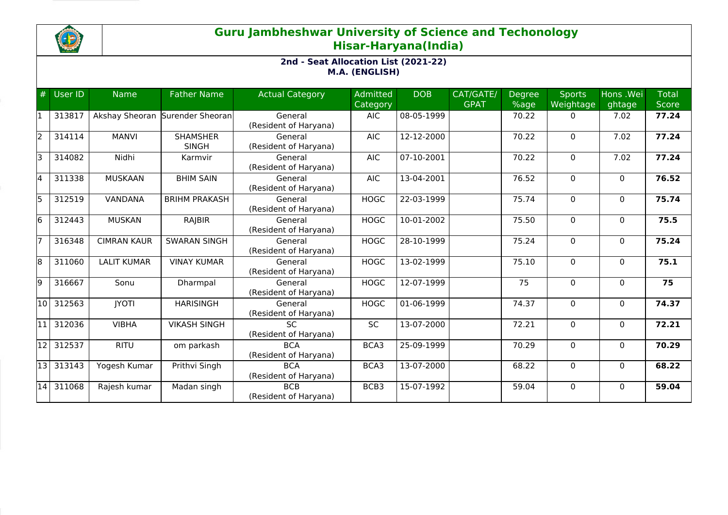

## **Guru Jambheshwar University of Science and Techonology Hisar-Haryana(India)**

## **2nd - Seat Allocation List (2021-22) M.A. (ENGLISH)**

| #     | User ID | <b>Name</b>        | <b>Father Name</b>              | <b>Actual Category</b>              | <b>Admitted</b><br>Category | <b>DOB</b>                  | CAT/GATE/<br><b>GPAT</b> | Degree<br>%age | <b>Sports</b><br>Weightage | Hons .Wei<br>ghtage | <b>Total</b><br><b>Score</b> |
|-------|---------|--------------------|---------------------------------|-------------------------------------|-----------------------------|-----------------------------|--------------------------|----------------|----------------------------|---------------------|------------------------------|
|       | 313817  | Akshay Sheoran     | Surender Sheoran                | General<br>(Resident of Haryana)    | <b>AIC</b>                  | 08-05-1999                  |                          | 70.22          | 0                          | 7.02                | 77.24                        |
| l2    | 314114  | <b>MANVI</b>       | <b>SHAMSHER</b><br><b>SINGH</b> | General<br>(Resident of Haryana)    | <b>AIC</b>                  | 12-12-2000                  |                          | 70.22          | 0                          | 7.02                | 77.24                        |
| l٦    | 314082  | Nidhi              | Karmvir                         | General<br>(Resident of Haryana)    | <b>AIC</b>                  | 07-10-2001                  |                          | 70.22          | 0                          | 7.02                | 77.24                        |
| l4    | 311338  | <b>MUSKAAN</b>     | <b>BHIM SAIN</b>                | General<br>(Resident of Haryana)    | <b>AIC</b>                  | 13-04-2001                  |                          | 76.52          | $\Omega$                   | $\mathbf{0}$        | 76.52                        |
| l5    | 312519  | VANDANA            | <b>BRIHM PRAKASH</b>            | General<br>(Resident of Haryana)    | <b>HOGC</b>                 | 22-03-1999                  |                          | 75.74          | $\Omega$                   | $\mathbf{0}$        | 75.74                        |
| l6    | 312443  | <b>MUSKAN</b>      | RAJBIR                          | General<br>(Resident of Haryana)    | <b>HOGC</b>                 | 10-01-2002                  |                          | 75.50          | 0                          | $\mathbf{0}$        | 75.5                         |
|       | 316348  | <b>CIMRAN KAUR</b> | <b>SWARAN SINGH</b>             | General<br>(Resident of Haryana)    | <b>HOGC</b>                 | 28-10-1999                  |                          | 75.24          | $\Omega$                   | $\mathbf{0}$        | 75.24                        |
| l8    | 311060  | <b>LALIT KUMAR</b> | <b>VINAY KUMAR</b>              | General<br>(Resident of Haryana)    | <b>HOGC</b>                 | 13-02-1999                  |                          | 75.10          | $\Omega$                   | $\mathbf{0}$        | 75.1                         |
| l9    | 316667  | Sonu               | Dharmpal                        | General<br>(Resident of Haryana)    | <b>HOGC</b>                 | 12-07-1999                  |                          | 75             | 0                          | $\mathbf{0}$        | 75                           |
| l10 l | 312563  | <b>JYOTI</b>       | <b>HARISINGH</b>                | General<br>(Resident of Haryana)    | <b>HOGC</b>                 | 01-06-1999                  |                          | 74.37          | $\Omega$                   | $\Omega$            | 74.37                        |
| 11    | 312036  | <b>VIBHA</b>       | <b>VIKASH SINGH</b>             | <b>SC</b><br>(Resident of Haryana)  | <b>SC</b>                   | 13-07-2000                  |                          | 72.21          | $\Omega$                   | $\mathbf{0}$        | 72.21                        |
| 12    | 312537  | <b>RITU</b>        | om parkash                      | <b>BCA</b><br>(Resident of Haryana) | BCA3                        | 25-09-1999                  |                          | 70.29          | $\Omega$                   | $\Omega$            | 70.29                        |
| 13    | 313143  | Yogesh Kumar       | Prithvi Singh                   | <b>BCA</b><br>(Resident of Haryana) | BCA3                        | $\overline{13} - 07 - 2000$ |                          | 68.22          | 0                          | $\mathbf 0$         | 68.22                        |
| 14    | 311068  | Rajesh kumar       | Madan singh                     | <b>BCB</b><br>(Resident of Haryana) | BCB3                        | 15-07-1992                  |                          | 59.04          | $\Omega$                   | $\Omega$            | 59.04                        |